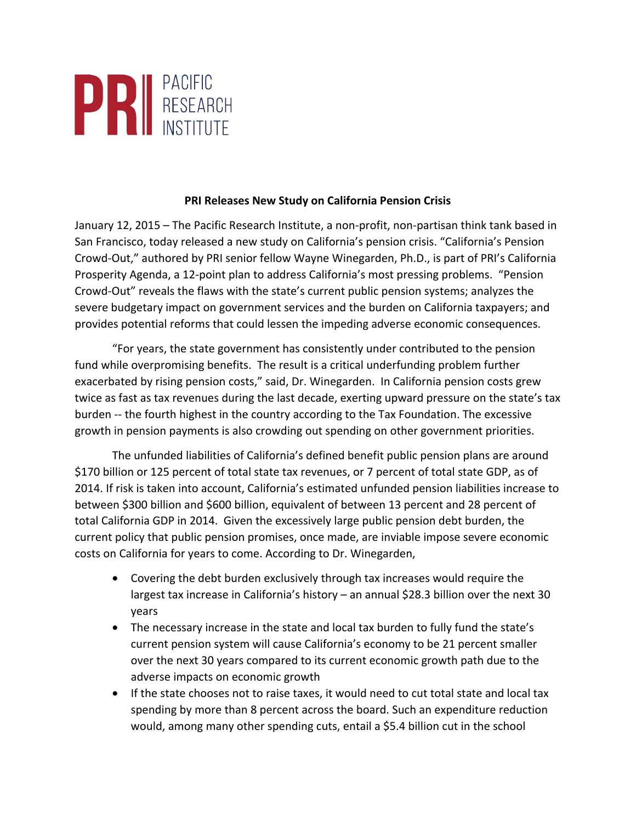

## **PRI Releases New Study on California Pension Crisis**

January 12, 2015 – The Pacific Research Institute, a non-profit, non-partisan think tank based in San Francisco, today released a new study on California's pension crisis. "California's Pension Crowd-Out," authored by PRI senior fellow Wayne Winegarden, Ph.D., is part of PRI's California Prosperity Agenda, a 12-point plan to address California's most pressing problems. "Pension Crowd-Out" reveals the flaws with the state's current public pension systems; analyzes the severe budgetary impact on government services and the burden on California taxpayers; and provides potential reforms that could lessen the impeding adverse economic consequences.

"For years, the state government has consistently under contributed to the pension fund while overpromising benefits. The result is a critical underfunding problem further exacerbated by rising pension costs," said, Dr. Winegarden. In California pension costs grew twice as fast as tax revenues during the last decade, exerting upward pressure on the state's tax burden -- the fourth highest in the country according to the Tax Foundation. The excessive growth in pension payments is also crowding out spending on other government priorities.

The unfunded liabilities of California's defined benefit public pension plans are around \$170 billion or 125 percent of total state tax revenues, or 7 percent of total state GDP, as of 2014. If risk is taken into account, California's estimated unfunded pension liabilities increase to between \$300 billion and \$600 billion, equivalent of between 13 percent and 28 percent of total California GDP in 2014. Given the excessively large public pension debt burden, the current policy that public pension promises, once made, are inviable impose severe economic costs on California for years to come. According to Dr. Winegarden,

- Covering the debt burden exclusively through tax increases would require the largest tax increase in California's history  $-$  an annual \$28.3 billion over the next 30 years
- The necessary increase in the state and local tax burden to fully fund the state's current pension system will cause California's economy to be 21 percent smaller over the next 30 years compared to its current economic growth path due to the adverse impacts on economic growth
- If the state chooses not to raise taxes, it would need to cut total state and local tax spending by more than 8 percent across the board. Such an expenditure reduction would, among many other spending cuts, entail a \$5.4 billion cut in the school